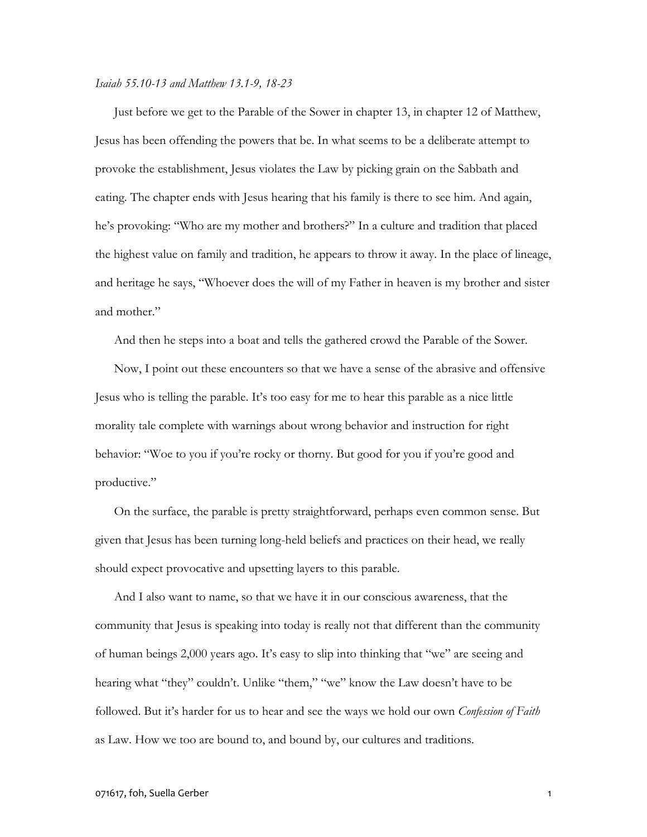## *Isaiah 55.10-13 and Matthew 13.1-9, 18-23*

Just before we get to the Parable of the Sower in chapter 13, in chapter 12 of Matthew, Jesus has been offending the powers that be. In what seems to be a deliberate attempt to provoke the establishment, Jesus violates the Law by picking grain on the Sabbath and eating. The chapter ends with Jesus hearing that his family is there to see him. And again, he's provoking: "Who are my mother and brothers?" In a culture and tradition that placed the highest value on family and tradition, he appears to throw it away. In the place of lineage, and heritage he says, "Whoever does the will of my Father in heaven is my brother and sister and mother."

And then he steps into a boat and tells the gathered crowd the Parable of the Sower.

Now, I point out these encounters so that we have a sense of the abrasive and offensive Jesus who is telling the parable. It's too easy for me to hear this parable as a nice little morality tale complete with warnings about wrong behavior and instruction for right behavior: "Woe to you if you're rocky or thorny. But good for you if you're good and productive."

On the surface, the parable is pretty straightforward, perhaps even common sense. But given that Jesus has been turning long-held beliefs and practices on their head, we really should expect provocative and upsetting layers to this parable.

And I also want to name, so that we have it in our conscious awareness, that the community that Jesus is speaking into today is really not that different than the community of human beings 2,000 years ago. It's easy to slip into thinking that "we" are seeing and hearing what "they" couldn't. Unlike "them," "we" know the Law doesn't have to be followed. But it's harder for us to hear and see the ways we hold our own *Confession of Faith* as Law. How we too are bound to, and bound by, our cultures and traditions.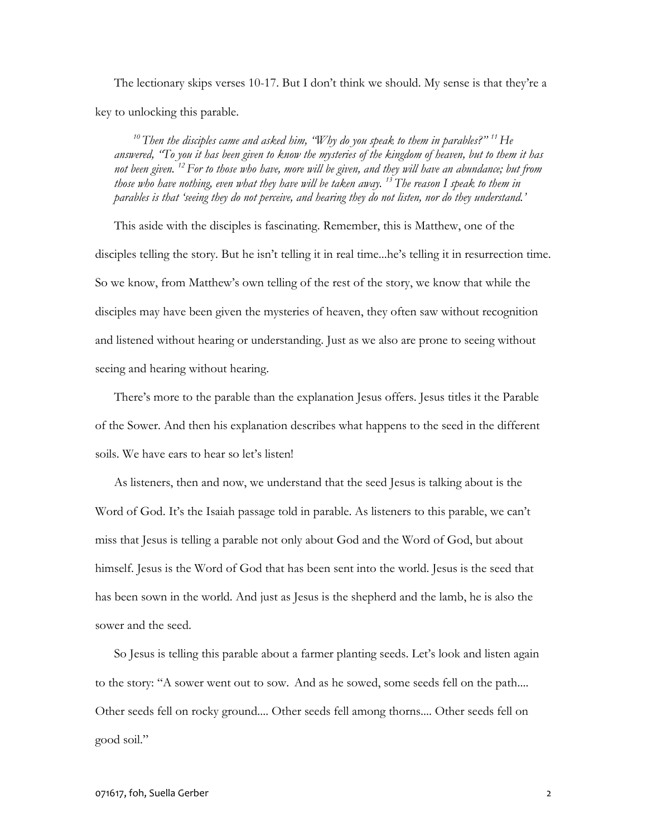The lectionary skips verses 10-17. But I don't think we should. My sense is that they're a key to unlocking this parable.

*<sup>10</sup> Then the disciples came and asked him, "Why do you speak to them in parables?" <sup>11</sup>He answered, "To you it has been given to know the mysteries of the kingdom of heaven, but to them it has not been given. <sup>12</sup> For to those who have, more will be given, and they will have an abundance; but from those who have nothing, even what they have will be taken away. <sup>13</sup> The reason I speak to them in parables is that 'seeing they do not perceive, and hearing they do not listen, nor do they understand.'*

This aside with the disciples is fascinating. Remember, this is Matthew, one of the disciples telling the story. But he isn't telling it in real time...he's telling it in resurrection time. So we know, from Matthew's own telling of the rest of the story, we know that while the disciples may have been given the mysteries of heaven, they often saw without recognition and listened without hearing or understanding. Just as we also are prone to seeing without seeing and hearing without hearing.

There's more to the parable than the explanation Jesus offers. Jesus titles it the Parable of the Sower. And then his explanation describes what happens to the seed in the different soils. We have ears to hear so let's listen!

As listeners, then and now, we understand that the seed Jesus is talking about is the Word of God. It's the Isaiah passage told in parable. As listeners to this parable, we can't miss that Jesus is telling a parable not only about God and the Word of God, but about himself. Jesus is the Word of God that has been sent into the world. Jesus is the seed that has been sown in the world. And just as Jesus is the shepherd and the lamb, he is also the sower and the seed.

So Jesus is telling this parable about a farmer planting seeds. Let's look and listen again to the story: "A sower went out to sow. And as he sowed, some seeds fell on the path.... Other seeds fell on rocky ground.... Other seeds fell among thorns.... Other seeds fell on good soil."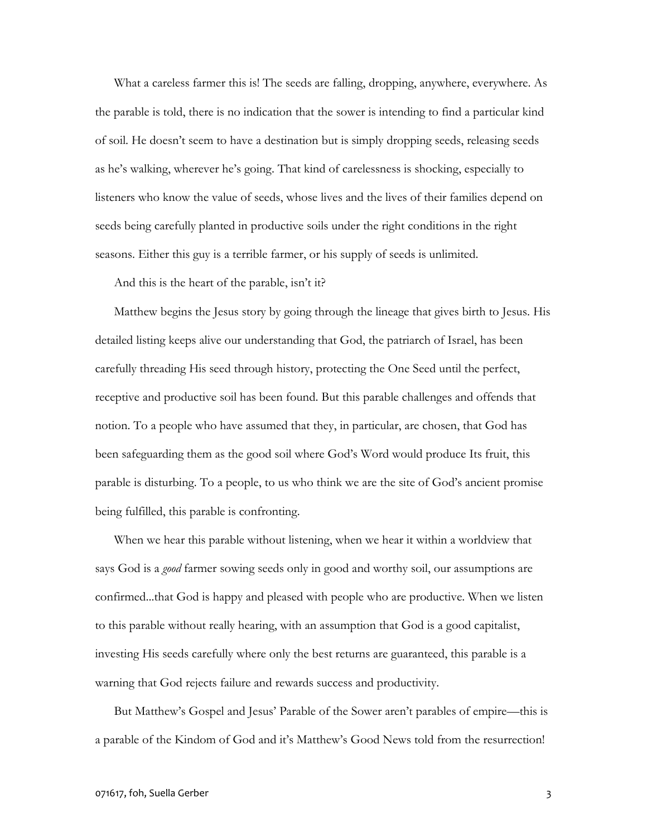What a careless farmer this is! The seeds are falling, dropping, anywhere, everywhere. As the parable is told, there is no indication that the sower is intending to find a particular kind of soil. He doesn't seem to have a destination but is simply dropping seeds, releasing seeds as he's walking, wherever he's going. That kind of carelessness is shocking, especially to listeners who know the value of seeds, whose lives and the lives of their families depend on seeds being carefully planted in productive soils under the right conditions in the right seasons. Either this guy is a terrible farmer, or his supply of seeds is unlimited.

And this is the heart of the parable, isn't it?

Matthew begins the Jesus story by going through the lineage that gives birth to Jesus. His detailed listing keeps alive our understanding that God, the patriarch of Israel, has been carefully threading His seed through history, protecting the One Seed until the perfect, receptive and productive soil has been found. But this parable challenges and offends that notion. To a people who have assumed that they, in particular, are chosen, that God has been safeguarding them as the good soil where God's Word would produce Its fruit, this parable is disturbing. To a people, to us who think we are the site of God's ancient promise being fulfilled, this parable is confronting.

When we hear this parable without listening, when we hear it within a worldview that says God is a *good* farmer sowing seeds only in good and worthy soil, our assumptions are confirmed...that God is happy and pleased with people who are productive. When we listen to this parable without really hearing, with an assumption that God is a good capitalist, investing His seeds carefully where only the best returns are guaranteed, this parable is a warning that God rejects failure and rewards success and productivity.

But Matthew's Gospel and Jesus' Parable of the Sower aren't parables of empire—this is a parable of the Kindom of God and it's Matthew's Good News told from the resurrection!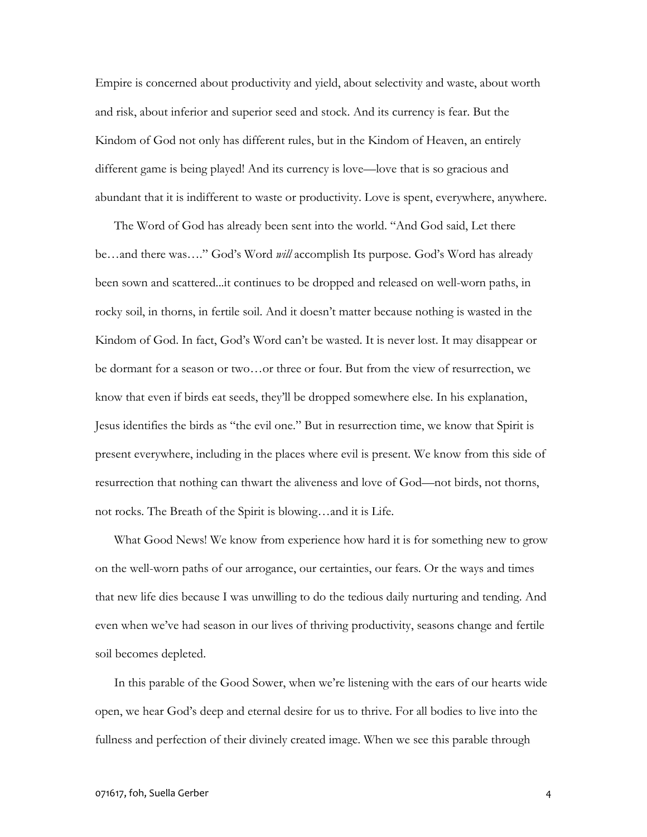Empire is concerned about productivity and yield, about selectivity and waste, about worth and risk, about inferior and superior seed and stock. And its currency is fear. But the Kindom of God not only has different rules, but in the Kindom of Heaven, an entirely different game is being played! And its currency is love—love that is so gracious and abundant that it is indifferent to waste or productivity. Love is spent, everywhere, anywhere.

The Word of God has already been sent into the world. "And God said, Let there be…and there was…." God's Word *will* accomplish Its purpose. God's Word has already been sown and scattered...it continues to be dropped and released on well-worn paths, in rocky soil, in thorns, in fertile soil. And it doesn't matter because nothing is wasted in the Kindom of God. In fact, God's Word can't be wasted. It is never lost. It may disappear or be dormant for a season or two…or three or four. But from the view of resurrection, we know that even if birds eat seeds, they'll be dropped somewhere else. In his explanation, Jesus identifies the birds as "the evil one." But in resurrection time, we know that Spirit is present everywhere, including in the places where evil is present. We know from this side of resurrection that nothing can thwart the aliveness and love of God—not birds, not thorns, not rocks. The Breath of the Spirit is blowing…and it is Life.

What Good News! We know from experience how hard it is for something new to grow on the well-worn paths of our arrogance, our certainties, our fears. Or the ways and times that new life dies because I was unwilling to do the tedious daily nurturing and tending. And even when we've had season in our lives of thriving productivity, seasons change and fertile soil becomes depleted.

In this parable of the Good Sower, when we're listening with the ears of our hearts wide open, we hear God's deep and eternal desire for us to thrive. For all bodies to live into the fullness and perfection of their divinely created image. When we see this parable through